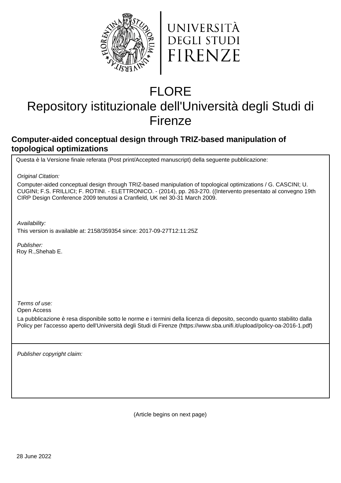



# FLORE

## Repository istituzionale dell'Università degli Studi di Firenze

### **Computer-aided conceptual design through TRIZ-based manipulation of topological optimizations**

Questa è la Versione finale referata (Post print/Accepted manuscript) della seguente pubblicazione:

Original Citation:

Computer-aided conceptual design through TRIZ-based manipulation of topological optimizations / G. CASCINI; U. CUGINI; F.S. FRILLICI; F. ROTINI. - ELETTRONICO. - (2014), pp. 263-270. ((Intervento presentato al convegno 19th CIRP Design Conference 2009 tenutosi a Cranfield, UK nel 30-31 March 2009.

Availability:

This version is available at: 2158/359354 since: 2017-09-27T12:11:25Z

Publisher: Roy R.,Shehab E.

Terms of use:

Open Access

La pubblicazione è resa disponibile sotto le norme e i termini della licenza di deposito, secondo quanto stabilito dalla Policy per l'accesso aperto dell'Università degli Studi di Firenze (https://www.sba.unifi.it/upload/policy-oa-2016-1.pdf)

Publisher copyright claim:

(Article begins on next page)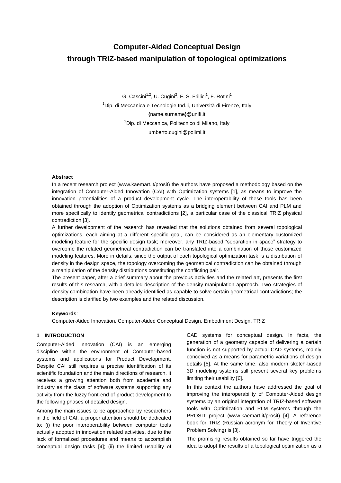## **Computer-Aided Conceptual Design through TRIZ-based manipulation of topological optimizations**

G. Cascini<sup>1,2</sup>, U. Cugini<sup>2</sup>, F. S. Frillici<sup>1</sup>, F. Rotini<sup>1</sup> <sup>1</sup>Dip. di Meccanica e Tecnologie Ind.li, Università di Firenze, Italy {name.surname}@unifi.it <sup>2</sup>Dip. di Meccanica, Politecnico di Milano, Italy umberto.cugini@polimi.it

#### **Abstract**

In a recent research project (www.kaemart.it/prosit) the authors have proposed a methodology based on the integration of Computer-Aided Innovation (CAI) with Optimization systems [1], as means to improve the innovation potentialities of a product development cycle. The interoperability of these tools has been obtained through the adoption of Optimization systems as a bridging element between CAI and PLM and more specifically to identify geometrical contradictions [2], a particular case of the classical TRIZ physical contradiction [3].

A further development of the research has revealed that the solutions obtained from several topological optimizations, each aiming at a different specific goal, can be considered as an elementary customized modeling feature for the specific design task; moreover, any TRIZ-based "separation in space" strategy to overcome the related geometrical contradiction can be translated into a combination of those customized modeling features. More in details, since the output of each topological optimization task is a distribution of density in the design space, the topology overcoming the geometrical contradiction can be obtained through a manipulation of the density distributions constituting the conflicting pair.

The present paper, after a brief summary about the previous activities and the related art, presents the first results of this research, with a detailed description of the density manipulation approach. Two strategies of density combination have been already identified as capable to solve certain geometrical contradictions; the description is clarified by two examples and the related discussion.

#### **Keywords**:

Computer-Aided Innovation, Computer-Aided Conceptual Design, Embodiment Design, TRIZ

#### **1 INTRODUCTION**

Computer-Aided Innovation (CAI) is an emerging discipline within the environment of Computer-based systems and applications for Product Development. Despite CAI still requires a precise identification of its scientific foundation and the main directions of research, it receives a growing attention both from academia and industry as the class of software systems supporting any activity from the fuzzy front-end of product development to the following phases of detailed design.

Among the main issues to be approached by researchers in the field of CAI, a proper attention should be dedicated to: (i) the poor interoperability between computer tools actually adopted in innovation related activities, due to the lack of formalized procedures and means to accomplish conceptual design tasks [4]; (ii) the limited usability of CAD systems for conceptual design. In facts, the generation of a geometry capable of delivering a certain function is not supported by actual CAD systems, mainly conceived as a means for parametric variations of design details [5]. At the same time, also modern sketch-based 3D modeling systems still present several key problems limiting their usability [6].

In this context the authors have addressed the goal of improving the interoperability of Computer-Aided design systems by an original integration of TRIZ-based software tools with Optimization and PLM systems through the PROSIT project (www.kaemart.it/prosit) [4]. A reference book for TRIZ (Russian acronym for Theory of Inventive Problem Solving) is [3].

The promising results obtained so far have triggered the idea to adopt the results of a topological optimization as a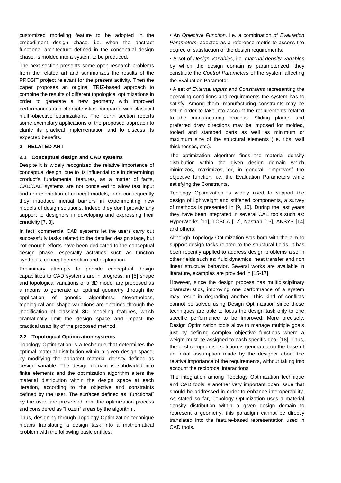customized modeling feature to be adopted in the embodiment design phase, i.e. when the abstract functional architecture defined in the conceptual design phase, is molded into a system to be produced.

The next section presents some open research problems from the related art and summarizes the results of the PROSIT project relevant for the present activity. Then the paper proposes an original TRIZ-based approach to combine the results of different topological optimizations in order to generate a new geometry with improved performances and characteristics compared with classical multi-objective optimizations. The fourth section reports some exemplary applications of the proposed approach to clarify its practical implementation and to discuss its expected benefits.

#### **2 RELATED ART**

#### **2.1 Conceptual design and CAD systems**

Despite it is widely recognized the relative importance of conceptual design, due to its influential role in determining product's fundamental features, as a matter of facts, CAD/CAE systems are not conceived to allow fast input and representation of concept models, and consequently they introduce inertial barriers in experimenting new models of design solutions. Indeed they don"t provide any support to designers in developing and expressing their creativity [7, 8].

In fact, commercial CAD systems let the users carry out successfully tasks related to the detailed design stage, but not enough efforts have been dedicated to the conceptual design phase, especially activities such as function synthesis, concept generation and exploration.

Preliminary attempts to provide conceptual design capabilities to CAD systems are in progress: in [5] shape and topological variations of a 3D model are proposed as a means to generate an optimal geometry through the application of genetic algorithms. Nevertheless, topological and shape variations are obtained through the modification of classical 3D modeling features, which dramatically limit the design space and impact the practical usability of the proposed method.

#### **2.2 Topological Optimization systems**

Topology Optimization is a technique that determines the optimal material distribution within a given design space, by modifying the apparent material density defined as design variable. The design domain is subdivided into finite elements and the optimization algorithm alters the material distribution within the design space at each iteration, according to the objective and constraints defined by the user. The surfaces defined as "functional" by the user, are preserved from the optimization process and considered as "frozen" areas by the algorithm.

Thus, designing through Topology Optimization technique means translating a design task into a mathematical problem with the following basic entities:

• An *Objective Function,* i.e. a combination of *Evaluation Parameters*, adopted as a reference metric to assess the degree of satisfaction of the design requirements;

• A set of *Design Variables*, i.e. *material density variables* by which the design domain is parameterized; they constitute the *Control Parameters* of the system affecting the Evaluation Parameter.

• A set of *External Inputs* and *Constraints* representing the operating conditions and requirements the system has to satisfy. Among them, manufacturing constraints may be set in order to take into account the requirements related to the manufacturing process. Sliding planes and preferred draw directions may be imposed for molded, tooled and stamped parts as well as minimum or maximum size of the structural elements (i.e. ribs, wall thicknesses, etc.).

The optimization algorithm finds the material density distribution within the given design domain which minimizes, maximizes, or, in general, "improves" the objective function, i.e. the Evaluation Parameters while satisfying the Constraints.

Topology Optimization is widely used to support the design of lightweight and stiffened components, a survey of methods is presented in [9, 10]. During the last years they have been integrated in several CAE tools such as: HyperWorks [11], TOSCA [12], Nastran [13], ANSYS [14] and others.

Although Topology Optimization was born with the aim to support design tasks related to the structural fields, it has been recently applied to address design problems also in other fields such as: fluid dynamics, heat transfer and non linear structure behavior. Several works are available in literature, examples are provided in [15-17].

However, since the design process has multidisciplinary characteristics, improving one performance of a system may result in degrading another. This kind of conflicts cannot be solved using Design Optimization since these techniques are able to focus the design task only to one specific performance to be improved. More precisely, Design Optimization tools allow to manage multiple goals just by defining complex objective functions where a weight must be assigned to each specific goal [18]. Thus, the best compromise solution is generated on the base of an initial assumption made by the designer about the relative importance of the requirements, without taking into account the reciprocal interactions.

The integration among Topology Optimization technique and CAD tools is another very important open issue that should be addressed in order to enhance interoperability. As stated so far, Topology Optimization uses a material density distribution within a given design domain to represent a geometry: this paradigm cannot be directly translated into the feature-based representation used in CAD tools.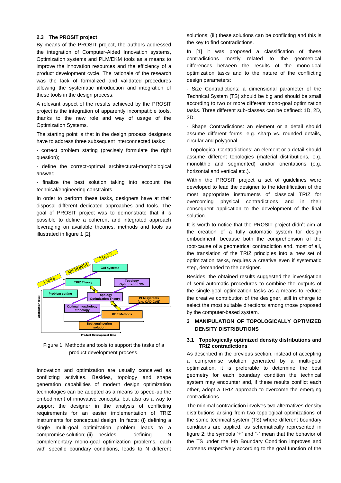#### **2.3 The PROSIT project**

By means of the PROSIT project, the authors addressed the integration of Computer-Aided Innovation systems, Optimization systems and PLM/EKM tools as a means to improve the innovation resources and the efficiency of a product development cycle. The rationale of the research was the lack of formalized and validated procedures allowing the systematic introduction and integration of these tools in the design process.

A relevant aspect of the results achieved by the PROSIT project is the integration of apparently incompatible tools, thanks to the new role and way of usage of the Optimization Systems.

The starting point is that in the design process designers have to address three subsequent interconnected tasks:

- correct problem stating (precisely formulate the right question);

- define the correct-optimal architectural-morphological answer;

- finalize the best solution taking into account the technical/engineering constraints.

In order to perform these tasks, designers have at their disposal different dedicated approaches and tools. The goal of PROSIT project was to demonstrate that it is possible to define a coherent and integrated approach leveraging on available theories, methods and tools as illustrated in figure 1 [2].



Figure 1: Methods and tools to support the tasks of a product development process.

Innovation and optimization are usually conceived as conflicting activities. Besides, topology and shape generation capabilities of modern design optimization technologies can be adopted as a means to speed-up the embodiment of innovative concepts, but also as a way to support the designer in the analysis of conflicting requirements for an easier implementation of TRIZ instruments for conceptual design. In facts: (i) defining a single multi-goal optimization problem leads to a compromise solution; (ii) besides, defining N complementary mono-goal optimization problems, each with specific boundary conditions, leads to N different solutions; (iii) these solutions can be conflicting and this is the key to find contradictions.

In [1] it was proposed a classification of these contradictions mostly related to the geometrical differences between the results of the mono-goal optimization tasks and to the nature of the conflicting design parameters:

- Size Contradictions: a dimensional parameter of the Technical System (TS) should be big and should be small according to two or more different mono-goal optimization tasks. Three different sub-classes can be defined: 1D, 2D, 3D.

- Shape Contradictions: an element or a detail should assume different forms, e.g. sharp vs. rounded details, circular and polygonal.

- Topological Contradictions: an element or a detail should assume different topologies (material distributions, e.g. monolithic and segmented) and/or orientations (e.g. horizontal and vertical etc.).

Within the PROSIT project a set of guidelines were developed to lead the designer to the identification of the most appropriate instruments of classical TRIZ for overcoming physical contradictions and in their consequent application to the development of the final solution.

It is worth to notice that the PROSIT project didn"t aim at the creation of a fully automatic system for design embodiment, because both the comprehension of the root-cause of a geometrical contradiction and, most of all, the translation of the TRIZ principles into a new set of optimization tasks, requires a creative even if systematic step, demanded to the designer.

Besides, the obtained results suggested the investigation of semi-automatic procedures to combine the outputs of the single-goal optimization tasks as a means to reduce the creative contribution of the designer, still in charge to select the most suitable directions among those proposed by the computer-based system.

#### **3 MANIPULATION OF TOPOLOGICALLY OPTIMIZED DENSITY DISTRIBUTIONS**

#### **3.1 Topologically optimized density distributions and TRIZ contradictions**

As described in the previous section, instead of accepting a compromise solution generated by a multi-goal optimization, it is preferable to determine the best geometry for each boundary condition the technical system may encounter and, if these results conflict each other, adopt a TRIZ approach to overcome the emerging contradictions.

The minimal contradiction involves two alternatives density distributions arising from two topological optimizations of the same technical system (TS) where different boundary conditions are applied, as schematically represented in figure 2: the symbols "+" and "-" mean that the behavior of the TS under the i-th Boundary Condition improves and worsens respectively according to the goal function of the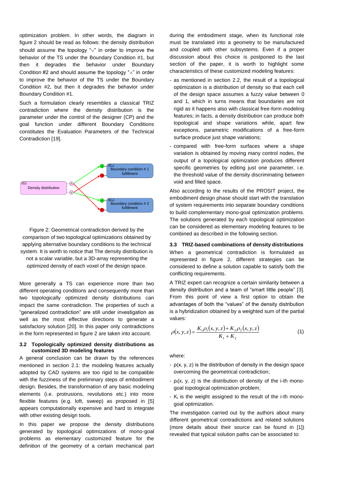optimization problem. In other words, the diagram in figure 2 should be read as follows: the density distribution should assume the topology " $\vee$ " in order to improve the behavior of the TS under the Boundary Condition #1, but then it degrades the behavior under Boundary Condition #2 and should assume the topology " $\wedge$ " in order to improve the behavior of the TS under the Boundary Condition #2, but then it degrades the behavior under Boundary Condition #1.

Such a formulation clearly resembles a classical TRIZ contradiction where the density distribution is the parameter under the control of the designer (CP) and the goal function under different Boundary Conditions constitutes the Evaluation Parameters of the Technical Contradiction [19].



Figure 2: Geometrical contradiction derived by the comparison of two topological optimizations obtained by applying alternative boundary conditions to the technical system. It is worth to notice that The density distribution is not a scalar variable, but a 3D-array representing the optimized density of each voxel of the design space.

More generally a TS can experience more than two different operating conditions and consequently more than two topologically optimized density distributions can impact the same contradiction. The properties of such a "generalized contradiction" are still under investigation as well as the most effective directions to generate a satisfactory solution [20]. In this paper only contradictions in the form represented in figure 2 are taken into account.

#### **3.2 Topologically optimized density distributions as customized 3D modeling features**

A general conclusion can be drawn by the references mentioned in section 2.1: the modeling features actually adopted by CAD systems are too rigid to be compatible with the fuzziness of the preliminary steps of embodiment design. Besides, the transformation of any basic modeling elements (i.e. protrusions, revolutions etc.) into more flexible features (e.g. loft, sweep) as proposed in [5] appears computationally expensive and hard to integrate with other existing design tools.

In this paper we propose the density distributions generated by topological optimizations of mono-goal problems as elementary customized feature for the definition of the geometry of a certain mechanical part

during the embodiment stage, when its functional role must be translated into a geometry to be manufactured and coupled with other subsystems. Even if a proper discussion about this choice is postponed to the last section of the paper, it is worth to highlight some characteristics of these customized modeling features:

- as mentioned in section 2.2, the result of a topological optimization is a distribution of density so that each cell of the design space assumes a fuzzy value between 0 and 1, which in turns means that boundaries are not rigid as it happens also with classical free-form modeling features; in facts, a density distribution can produce both topological and shape variations while, apart few exceptions, parametric modifications of a free-form surface produce just shape variations;
- compared with free-form surfaces where a shape variation is obtained by moving many control nodes, the output of a topological optimization produces different specific geometries by editing just one parameter, i.e. the threshold value of the density discriminating between void and filled space.

Also according to the results of the PROSIT project, the embodiment design phase should start with the translation of system requirements into separate boundary conditions to build complementary mono-goal optimization problems. The solutions generated by each topological optimization can be considered as elementary modeling features to be combined as described in the following section.

#### **3.3 TRIZ-based combinations of density distributions** When a geometrical contradiction is formulated as represented in figure 2, different strategies can be considered to define a solution capable to satisfy both the conflicting requirements.

A TRIZ expert can recognize a certain similarity between a density distribution and a team of "smart little people" [3]. From this point of view a first option to obtain the advantages of both the "values" of the density distribution is a hybridization obtained by a weighted sum of the partial values:

$$
\rho(x, y, z) = \frac{K_1 \rho_1(x, y, z) + K_2 \rho_2(x, y, z)}{K_1 + K_2}
$$
\n(1)

where:

- $\rho(x, y, z)$  is the distribution of density in the design space overcoming the geometrical contradiction;
- ρi(x, y, z) is the distribution of density of the i-th monogoal topological optimization problem;
- $K_i$  is the weight assigned to the result of the i-th monogoal optimization.

The investigation carried out by the authors about many different geometrical contradictions and related solutions (more details about their source can be found in [1]) revealed that typical solution paths can be associated to: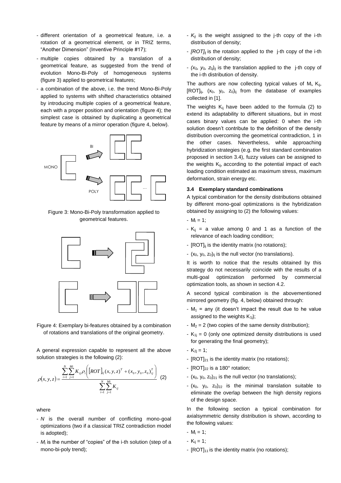- different orientation of a geometrical feature, i.e. a rotation of a geometrical element, or in TRIZ terms, "Another Dimension" (Inventive Principle #17);
- multiple copies obtained by a translation of a geometrical feature, as suggested from the trend of evolution Mono-Bi-Poly of homogeneous systems (figure 3) applied to geometrical features;
- a combination of the above, i.e. the trend Mono-Bi-Poly applied to systems with shifted characteristics obtained by introducing multiple copies of a geometrical feature, each with a proper position and orientation (figure 4); the simplest case is obtained by duplicating a geometrical feature by means of a mirror operation (figure 4, below).



Figure 3: Mono-Bi-Poly transformation applied to geometrical features.



Figure 4: Exemplary bi-features obtained by a combination of rotations and translations of the original geometry.

A general expression capable to represent all the above solution strategies is the following (2):

$$
\rho(x, y, z) = \frac{\sum_{i=1}^{N} \sum_{j=1}^{Mi} K_{ij} \rho_i \left[ [ROT]_{ij} (x, y, z)^T + (x_0, y_0, z_0)^T_{ij} \right]}{\sum_{i=1}^{N} \sum_{j=1}^{Mi} K_{ij}}
$$
(2)

where

- *N* is the overall number of conflicting mono-goal optimizations (two if a classical TRIZ contradiction model is adopted);
- *M<sup>i</sup>* is the number of "copies" of the i-th solution (step of a mono-bi-poly trend);
- $-K_{ii}$  is the weight assigned to the j-th copy of the i-th distribution of density;
- *[ROT]ij* is the rotation applied to the j-th copy of the i-th distribution of density;
- *(x*0*, y*0*, z*0*)ij* is the translation applied to the j-th copy of the i-th distribution of density.

The authors are now collecting typical values of  $M_i$ ,  $K_{ij}$ ,  $[ROT]_{ii}$ ,  $(x_0, y_0, z_0)_{ii}$  from the database of examples collected in [1].

The weights  $K_{ij}$  have been added to the formula (2) to extend its adaptability to different situations, but in most cases binary values can be applied: 0 when the i-th solution doesn't contribute to the definition of the density distribution overcoming the geometrical contradiction, 1 in the other cases. Nevertheless, while approaching hybridization strategies (e.g. the first standard combination proposed in section 3.4), fuzzy values can be assigned to the weights  $K_{ii}$ , according to the potential impact of each loading condition estimated as maximum stress, maximum deformation, strain energy etc.

#### **3.4 Exemplary standard combinations**

A typical combination for the density distributions obtained by different mono-goal optimizations is the hybridization obtained by assigning to (2) the following values:

- $-M_i = 1$ ;
- $-K_{ij}$  = a value among 0 and 1 as a function of the relevance of each loading condition;
- [ROT]<sub>ij</sub> is the identity matrix (no rotations);
- $(x_0, y_0, z_0)_{ii}$  is the null vector (no translations).

It is worth to notice that the results obtained by this strategy do not necessarily coincide with the results of a multi-goal optimization performed by commercial optimization tools, as shown in section 4.2.

A second typical combination is the abovementioned mirrored geometry (fig. 4, below) obtained through:

- $-M_1$  = any (it doesn't impact the result due to he value assigned to the weights  $K_{1j}$ ;
- $-M_2 = 2$  (two copies of the same density distribution):
- $K_{1j}$  = 0 (only one optimized density distributions is used for generating the final geometry);
- $-K_{2i} = 1$ ;
- $[ROT]_{21}$  is the identity matrix (no rotations);
- $[ROT]_{22}$  is a 180 $^{\circ}$  rotation;
- $-$  (x<sub>0</sub>, y<sub>0</sub>, z<sub>0</sub>)<sub>21</sub> is the null vector (no translations);
- $-$  (x<sub>0</sub>, y<sub>0</sub>, z<sub>0</sub>)<sub>22</sub> is the minimal translation suitable to eliminate the overlap between the high density regions of the design space.

In the following section a typical combination for axialsymmetric density distribution is shown, according to the following values:

- $-M_i = 1$ ;
- $-K_{ii} = 1$ ;
- $[ROT]_{11}$  is the identity matrix (no rotations);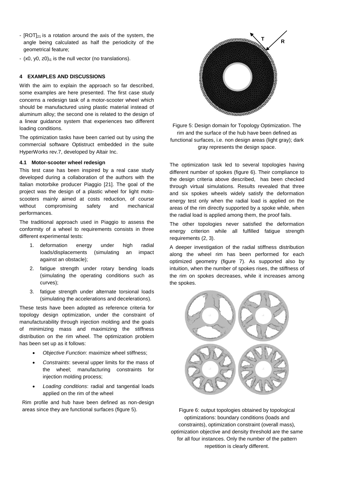- $-$  [ROT] $_{21}$  is a rotation around the axis of the system, the angle being calculated as half the periodicity of the geometrical feature;
- $-$  (x0, y0, z0) $_{i1}$  is the null vector (no translations).

#### **4 EXAMPLES AND DISCUSSIONS**

With the aim to explain the approach so far described, some examples are here presented. The first case study concerns a redesign task of a motor-scooter wheel which should be manufactured using plastic material instead of aluminum alloy; the second one is related to the design of a linear guidance system that experiences two different loading conditions.

The optimization tasks have been carried out by using the commercial software Optistruct embedded in the suite HyperWorks rev.7, developed by Altair Inc.

#### **4.1 Motor-scooter wheel redesign**

This test case has been inspired by a real case study developed during a collaboration of the authors with the Italian motorbike producer Piaggio [21]. The goal of the project was the design of a plastic wheel for light motoscooters mainly aimed at costs reduction, of course without compromising safety and mechanical performances.

The traditional approach used in Piaggio to assess the conformity of a wheel to requirements consists in three different experimental tests:

- 1. deformation energy under high radial loads/displacements (simulating an impact against an obstacle);
- 2. fatigue strength under rotary bending loads (simulating the operating conditions such as curves);
- 3. fatigue strength under alternate torsional loads (simulating the accelerations and decelerations).

These tests have been adopted as reference criteria for topology design optimization, under the constraint of manufacturability through injection molding and the goals of minimizing mass and maximizing the stiffness distribution on the rim wheel. The optimization problem has been set up as it follows:

- *Objective Function*: maximize wheel stiffness;
- *Constraints*: several upper limits for the mass of the wheel; manufacturing constraints for injection molding process;
- *Loading conditions*: radial and tangential loads applied on the rim of the wheel

Rim profile and hub have been defined as non-design areas since they are functional surfaces (figure 5).



Figure 5: Design domain for Topology Optimization. The rim and the surface of the hub have been defined as functional surfaces, i.e. non design areas (light gray); dark gray represents the design space.

The optimization task led to several topologies having different number of spokes (figure 6). Their compliance to the design criteria above described, has been checked through virtual simulations. Results revealed that three and six spokes wheels widely satisfy the deformation energy test only when the radial load is applied on the areas of the rim directly supported by a spoke while, when the radial load is applied among them, the proof fails.

The other topologies never satisfied the deformation energy criterion while all fulfilled fatigue strength requirements (2, 3).

A deeper investigation of the radial stiffness distribution along the wheel rim has been performed for each optimized geometry (figure 7). As supported also by intuition, when the number of spokes rises, the stiffness of the rim on spokes decreases, while it increases among the spokes.



Figure 6: output topologies obtained by topological optimizations: boundary conditions (loads and constraints), optimization constraint (overall mass), optimization objective and density threshold are the same for all four instances. Only the number of the pattern repetition is clearly different.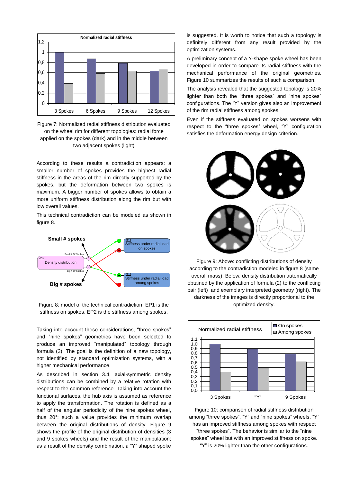

Figure 7: Normalized radial stiffness distribution evaluated on the wheel rim for different topologies: radial force applied on the spokes (dark) and in the middle between two adjacent spokes (light)

According to these results a contradiction appears: a smaller number of spokes provides the highest radial stiffness in the areas of the rim directly supported by the spokes, but the deformation between two spokes is maximum. A bigger number of spokes allows to obtain a more uniform stiffness distribution along the rim but with low overall values.

This technical contradiction can be modeled as shown in figure 8.



Figure 8: model of the technical contradiction: EP1 is the stiffness on spokes, EP2 is the stiffness among spokes.

Taking into account these considerations, "three spokes" and "nine spokes" geometries have been selected to produce an improved "manipulated" topology through formula (2). The goal is the definition of a new topology, not identified by standard optimization systems, with a higher mechanical performance.

As described in section 3.4, axial-symmetric density distributions can be combined by a relative rotation with respect to the common reference. Taking into account the functional surfaces, the hub axis is assumed as reference to apply the transformation. The rotation is defined as a half of the angular periodicity of the nine spokes wheel, thus 20°: such a value provides the minimum overlap between the original distributions of density. Figure 9 shows the profile of the original distribution of densities (3 and 9 spokes wheels) and the result of the manipulation; as a result of the density combination, a "Y" shaped spoke

is suggested. It is worth to notice that such a topology is definitely different from any result provided by the optimization systems.

A preliminary concept of a Y-shape spoke wheel has been developed in order to compare its radial stiffness with the mechanical performance of the original geometries. Figure 10 summarizes the results of such a comparison.

The analysis revealed that the suggested topology is 20% lighter than both the "three spokes" and "nine spokes" configurations. The "Y" version gives also an improvement of the rim radial stiffness among spokes.

Even if the stiffness evaluated on spokes worsens with respect to the "three spokes" wheel, "Y" configuration satisfies the deformation energy design criterion.



Figure 9: Above: conflicting distributions of density according to the contradiction modeled in figure 8 (same overall mass). Below: density distribution automatically obtained by the application of formula (2) to the conflicting pair (left) and exemplary interpreted geometry (right). The darkness of the images is directly proportional to the optimized density.



Figure 10: comparison of radial stiffness distribution among "three spokes", "Y" and "nine spokes" wheels. "Y" has an improved stiffness among spokes with respect "three spokes". The behavior is similar to the "nine spokes" wheel but with an improved stiffness on spoke. "Y" is 20% lighter than the other configurations.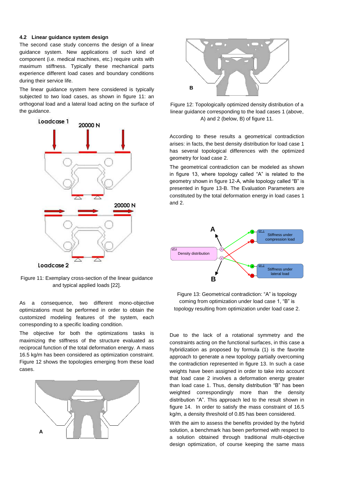#### **4.2 Linear guidance system design**

The second case study concerns the design of a linear guidance system. New applications of such kind of component (i.e. medical machines, etc.) require units with maximum stiffness. Typically these mechanical parts experience different load cases and boundary conditions during their service life.

The linear guidance system here considered is typically subjected to two load cases, as shown in figure 11: an orthogonal load and a lateral load acting on the surface of the guidance.



Figure 11: Exemplary cross-section of the linear guidance and typical applied loads [22].

As a consequence, two different mono-objective optimizations must be performed in order to obtain the customized modeling features of the system, each corresponding to a specific loading condition.

The objective for both the optimizations tasks is maximizing the stiffness of the structure evaluated as reciprocal function of the total deformation energy. A mass 16.5 kg/m has been considered as optimization constraint. Figure 12 shows the topologies emerging from these load cases.





Figure 12: Topologically optimized density distribution of a linear guidance corresponding to the load cases 1 (above, A) and 2 (below, B) of figure 11.

According to these results a geometrical contradiction arises: in facts, the best density distribution for load case 1 has several topological differences with the optimized geometry for load case 2.

The geometrical contradiction can be modeled as shown in figure 13, where topology called "A" is related to the geometry shown in figure 12-A, while topology called "B" is presented in figure 13-B. The Evaluation Parameters are constituted by the total deformation energy in load cases 1 and 2.



Figure 13: Geometrical contradiction: "A" is topology coming from optimization under load case 1, "B" is topology resulting from optimization under load case 2.

Due to the lack of a rotational symmetry and the constraints acting on the functional surfaces, in this case a hybridization as proposed by formula (1) is the favorite approach to generate a new topology partially overcoming the contradiction represented in figure 13. In such a case weights have been assigned in order to take into account that load case 2 involves a deformation energy greater than load case 1. Thus, density distribution "B" has been weighted correspondingly more than the density distribution "A". This approach led to the result shown in figure 14. In order to satisfy the mass constraint of 16.5 kg/m, a density threshold of 0.85 has been considered.

With the aim to assess the benefits provided by the hybrid solution, a benchmark has been performed with respect to a solution obtained through traditional multi-objective design optimization, of course keeping the same mass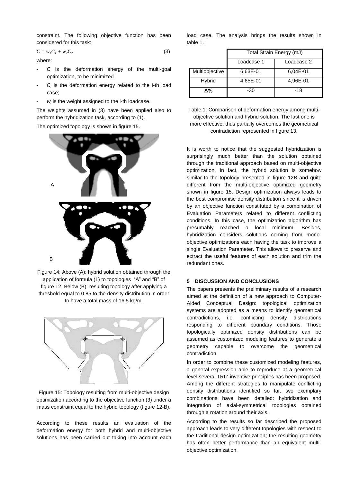constraint. The following objective function has been considered for this task:

$$
C = w_1 C_1 + w_2 C_2 \tag{3}
$$

where:

- C is the deformation energy of the multi-goal optimization, to be minimized
- *C<sup>i</sup>* is the deformation energy related to the i-th load case;
- w<sub>i</sub> is the weight assigned to the i-th loadcase.

The weights assumed in (3) have been applied also to perform the hybridization task, according to (1).

The optimized topology is shown in figure 15.



Figure 14: Above (A): hybrid solution obtained through the application of formula (1) to topologies "A" and "B" of figure 12. Below (B): resulting topology after applying a threshold equal to 0.85 to the density distribution in order to have a total mass of 16.5 kg/m.



Figure 15: Topology resulting from multi-objective design optimization according to the objective function (3) under a mass constraint equal to the hybrid topology (figure 12-B).

According to these results an evaluation of the deformation energy for both hybrid and multi-objective solutions has been carried out taking into account each load case. The analysis brings the results shown in table 1.

|                | Total Strain Energy (mJ) |            |
|----------------|--------------------------|------------|
|                | Loadcase 1               | Loadcase 2 |
| Multiobjective | 6,63E-01                 | 6,04E-01   |
| <b>Hybrid</b>  | 4,65E-01                 | 4,96E-01   |
| Δ%             | -30                      | $-18$      |

Table 1: Comparison of deformation energy among multiobjective solution and hybrid solution. The last one is more effective, thus partially overcomes the geometrical contradiction represented in figure 13.

It is worth to notice that the suggested hybridization is surprisingly much better than the solution obtained through the traditional approach based on multi-objective optimization. In fact, the hybrid solution is somehow similar to the topology presented in figure 12B and quite different from the multi-objective optimized geometry shown in figure 15. Design optimization always leads to the best compromise density distribution since it is driven by an objective function constituted by a combination of Evaluation Parameters related to different conflicting conditions. In this case, the optimization algorithm has presumably reached a local minimum. Besides, hybridization considers solutions coming from monoobjective optimizations each having the task to improve a single Evaluation Parameter. This allows to preserve and extract the useful features of each solution and trim the redundant ones.

#### **5 DISCUSSION AND CONCLUSIONS**

The papers presents the preliminary results of a research aimed at the definition of a new approach to Computer-Aided Conceptual Design: topological optimization systems are adopted as a means to identify geometrical contradictions, i.e. conflicting density distributions responding to different boundary conditions. Those topologically optimized density distributions can be assumed as customized modeling features to generate a geometry capable to overcome the geometrical contradiction.

In order to combine these customized modeling features, a general expression able to reproduce at a geometrical level several TRIZ inventive principles has been proposed. Among the different strategies to manipulate conflicting density distributions identified so far, two exemplary combinations have been detailed: hybridization and integration of axial-symmetrical topologies obtained through a rotation around their axis.

According to the results so far described the proposed approach leads to very different topologies with respect to the traditional design optimization; the resulting geometry has often better performance than an equivalent multiobjective optimization.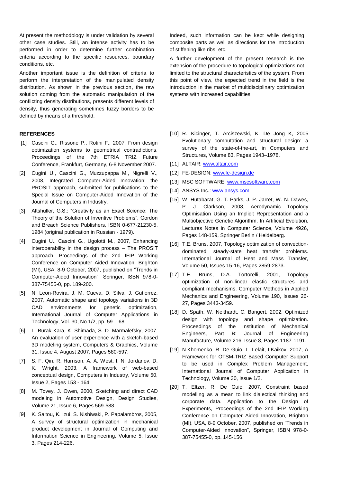At present the methodology is under validation by several other case studies. Still, an intense activity has to be performed in order to determine further combination criteria according to the specific resources, boundary conditions, etc.

Another important issue is the definition of criteria to perform the interpretation of the manipulated density distribution. As shown in the previous section, the raw solution coming from the automatic manipulation of the conflicting density distributions, presents different levels of density, thus generating sometimes fuzzy borders to be defined by means of a threshold.

#### **REFERENCES**

- [1] Cascini G., Rissone P., Rotini F., 2007, From design optimization systems to geometrical contradictions, Proceedings of the 7th ETRIA TRIZ Future Conference, Frankfurt, Germany, 6-8 November 2007.
- [2] Cugini U., Cascini G., Muzzupappa M., Nigrelli V., 2008, Integrated Computer-Aided Innovation: the PROSIT approach, submitted for publications to the Special Issue on Computer-Aided Innovation of the Journal of Computers in Industry.
- [3] Altshuller, G.S.: "Creativity as an Exact Science: The Theory of the Solution of Inventive Problems". Gordon and Breach Science Publishers, ISBN 0-677-21230-5, 1984 (original publication in Russian - 1979).
- [4] Cugini U., Cascini G., Ugolotti M., 2007, Enhancing interoperability in the design process – The PROSIT approach, Proceedings of the 2nd IFIP Working Conference on Computer Aided Innovation, Brighton (MI), USA, 8-9 October, 2007, published on "Trends in Computer-Aided Innovation", Springer, ISBN 978-0- 387-75455-0, pp. 189-200.
- [5] N. Leon-Rovira, J. M. Cueva, D. Silva, J. Gutierrez, 2007, Automatic shape and topology variations in 3D CAD environments for genetic optimization, International Journal of Computer Applications in Technology, Vol. 30, No.1/2, pp. 59 – 68.
- [6] L. Burak Kara, K. Shimada, S. D. Marmalefsky, 2007, An evaluation of user experience with a sketch-based 3D modeling system, Computers & Graphics, Volume 31, Issue 4, August 2007, Pages 580-597.
- [7] S. F. Qin, R. Harrison, A. A. West, I. N. Jordanov, D. K. Wright, 2003, A framework of web-based conceptual design, Computers in Industry, Volume 50, Issue 2, Pages 153 - 164.
- [8] M. Tovey, J. Owen, 2000, Sketching and direct CAD modeling in Automotive Design, Design Studies, Volume 21, Issue 6, Pages 569-588.
- [9] K. Saitou, K. Izui, S. Nishiwaki, P. Papalambros, 2005, A survey of structural optimization in mechanical product development in Journal of Computing and Information Science in Engineering, Volume 5, Issue 3, Pages 214-226.

Indeed, such information can be kept while designing composite parts as well as directions for the introduction of stiffening like ribs, etc.

A further development of the present research is the extension of the procedure to topological optimizations not limited to the structural characteristics of the system. From this point of view, the expected trend in the field is the introduction in the market of multidisciplinary optimization systems with increased capabilities.

- [10] R. Kicinger, T. Arciszewski, K. De Jong K, 2005 Evolutionary computation and structural design: a survey of the state-of-the-art, in Computers and Structures, Volume 83, Pages 1943–1978.
- [11] ALTAIR[: www.altair.com](http://www.altair.com/)
- [12] FE-DESIGN: [www.fe-design.de](http://www.fe-design.de/)
- [13] MSC SOFTWARE: [www.mscsoftware.com](http://www.mscsoftware.com/)
- [14] ANSYS Inc.[: www.ansys.com](http://www.ansys.com/)
- [15] W. Hutabarat, G. T. Parks, J. P. Jarret, W. N. Dawes, P. J. Clarkson, 2008, Aerodynamic Topology Optimisation Using an Implicit Representation and a Multiobjective Genetic Algorithm. In Artificial Evolution, Lectures Notes in Computer Science, Volume 4926, Pages 148-159, Springer Berlin / Heidelberg.
- [16] T.E. Bruns, 2007, Topology optimization of convectiondominated, steady-state heat transfer problems. International Journal of Heat and Mass Transfer, Volume 50, Issues 15-16, Pages 2859-2873.
- [17] T.E. Bruns, D.A. Tortorelli, 2001, Topology optimization of non-linear elastic structures and compliant mechanisms. Computer Methods in Applied Mechanics and Engineering, Volume 190, Issues 26- 27, Pages 3443-3459.
- [18] D. Spath, W. Neithardt, C. Bangert, 2002, Optimized design with topology and shape optimization. Proceedings of the Institution of Mechanical Engineers, Part B: Journal of Engineering Manufacture, Volume 216, Issue 8, Pages 1187-1191.
- [19] N.Khomenko, R. De Guio, L. Lelait, I.Kaikov, 2007, A Framework for OTSM-TRIZ Based Computer Support to be used in Complex Problem Management, International Journal of Computer Application in Technology, Volume 30, Issue 1/2.
- [20] T. Eltzer, R. De Guio, 2007, Constraint based modelling as a mean to link dialectical thinking and corporate data. Application to the Design of Experiments, Proceedings of the 2nd IFIP Working Conference on Computer Aided Innovation, Brighton (MI), USA, 8-9 October, 2007, published on "Trends in Computer-Aided Innovation", Springer, ISBN 978-0- 387-75455-0, pp. 145-156.